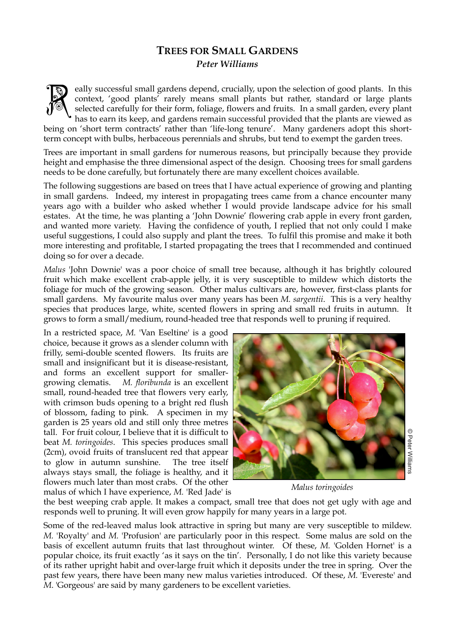## **TREES FOR SMALL GARDENS**  *Peter Williams*

eally successful small gardens depend, crucially, upon the selection of good plants. In this context, 'good plants' rarely means small plants but rather, standard or large plants selected carefully for their form, foliage, flowers and fruits. In a small garden, every plant has to earn its keep, and gardens remain successful provided that the plants are viewed as being on 'short term contracts' rather than 'life-long tenure'. Many gardeners adopt this shortterm concept with bulbs, herbaceous perennials and shrubs, but tend to exempt the garden trees. ra de la composición de la composición de la composición de la composición de la composición de la composició<br>Del composición de la composición de la composición de la composición de la composición de la composición de<br>Del

Trees are important in small gardens for numerous reasons, but principally because they provide height and emphasise the three dimensional aspect of the design. Choosing trees for small gardens needs to be done carefully, but fortunately there are many excellent choices available.

The following suggestions are based on trees that I have actual experience of growing and planting in small gardens. Indeed, my interest in propagating trees came from a chance encounter many years ago with a builder who asked whether I would provide landscape advice for his small estates. At the time, he was planting a 'John Downie' flowering crab apple in every front garden, and wanted more variety. Having the confidence of youth, I replied that not only could I make useful suggestions, I could also supply and plant the trees. To fulfil this promise and make it both more interesting and profitable, I started propagating the trees that I recommended and continued doing so for over a decade.

*Malus* 'John Downie' was a poor choice of small tree because, although it has brightly coloured fruit which make excellent crab-apple jelly, it is very susceptible to mildew which distorts the foliage for much of the growing season. Other malus cultivars are, however, first-class plants for small gardens. My favourite malus over many years has been *M. sargentii*. This is a very healthy species that produces large, white, scented flowers in spring and small red fruits in autumn. It grows to form a small/medium, round-headed tree that responds well to pruning if required.

In a restricted space, *M.* 'Van Eseltine' is a good choice, because it grows as a slender column with frilly, semi-double scented flowers. Its fruits are small and insignificant but it is disease-resistant, and forms an excellent support for smallergrowing clematis. *M. floribunda* is an excellent small, round-headed tree that flowers very early, with crimson buds opening to a bright red flush of blossom, fading to pink. A specimen in my garden is 25 years old and still only three metres tall. For fruit colour, I believe that it is difficult to beat *M. toringoides*. This species produces small (2cm), ovoid fruits of translucent red that appear to glow in autumn sunshine. The tree itself always stays small, the foliage is healthy, and it flowers much later than most crabs. Of the other malus of which I have experience, *M.* 'Red Jade' is



 *Malus toringoides*

the best weeping crab apple. It makes a compact, small tree that does not get ugly with age and responds well to pruning. It will even grow happily for many years in a large pot.

Some of the red-leaved malus look attractive in spring but many are very susceptible to mildew. *M.* 'Royalty' and *M.* 'Profusion' are particularly poor in this respect. Some malus are sold on the basis of excellent autumn fruits that last throughout winter. Of these, *M.* 'Golden Hornet' is a popular choice, its fruit exactly 'as it says on the tin'. Personally, I do not like this variety because of its rather upright habit and over-large fruit which it deposits under the tree in spring. Over the past few years, there have been many new malus varieties introduced. Of these, *M.* 'Evereste' and *M*. 'Gorgeous' are said by many gardeners to be excellent varieties.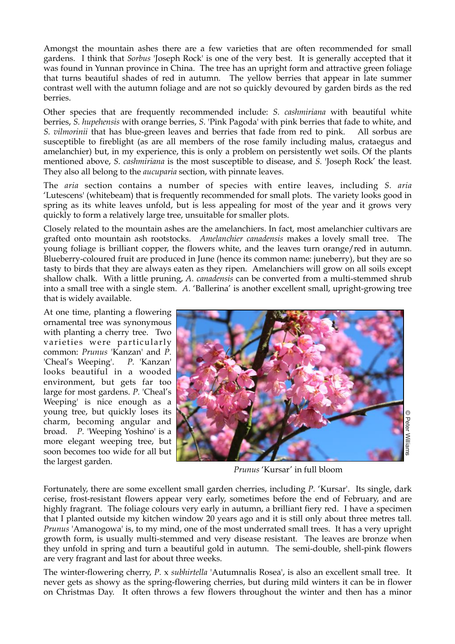Amongst the mountain ashes there are a few varieties that are often recommended for small gardens. I think that *Sorbus* 'Joseph Rock' is one of the very best. It is generally accepted that it was found in Yunnan province in China. The tree has an upright form and attractive green foliage that turns beautiful shades of red in autumn. The yellow berries that appear in late summer contrast well with the autumn foliage and are not so quickly devoured by garden birds as the red berries.

Other species that are frequently recommended include: *S. cashmiriana* with beautiful white berries, *S. hupehensis* with orange berries, *S.* 'Pink Pagoda' with pink berries that fade to white, and *S. vilmorinii* that has blue-green leaves and berries that fade from red to pink. All sorbus are susceptible to fireblight (as are all members of the rose family including malus, crataegus and amelanchier) but, in my experience, this is only a problem on persistently wet soils. Of the plants mentioned above, *S. cashmiriana* is the most susceptible to disease, and *S.* 'Joseph Rock' the least. They also all belong to the *aucuparia* section, with pinnate leaves.

The *aria* section contains a number of species with entire leaves, including *S. aria* 'Lutescens' (whitebeam) that is frequently recommended for small plots. The variety looks good in spring as its white leaves unfold, but is less appealing for most of the year and it grows very quickly to form a relatively large tree, unsuitable for smaller plots.

Closely related to the mountain ashes are the amelanchiers. In fact, most amelanchier cultivars are grafted onto mountain ash rootstocks. *Amelanchier canadensis* makes a lovely small tree. The young foliage is brilliant copper, the flowers white, and the leaves turn orange/red in autumn. Blueberry-coloured fruit are produced in June (hence its common name: juneberry), but they are so tasty to birds that they are always eaten as they ripen. Amelanchiers will grow on all soils except shallow chalk. With a little pruning, *A. canadensis* can be converted from a multi-stemmed shrub into a small tree with a single stem. *A.* 'Ballerina' is another excellent small, upright-growing tree that is widely available.

At one time, planting a flowering ornamental tree was synonymous with planting a cherry tree. Two varieties were particularly common: *Prunus* 'Kanzan' and *P.* 'Cheal's Weeping'. *P.* 'Kanzan' looks beautiful in a wooded environment, but gets far too large for most gardens. *P.* 'Cheal's Weeping' is nice enough as a young tree, but quickly loses its charm, becoming angular and broad. *P.* 'Weeping Yoshino' is a more elegant weeping tree, but soon becomes too wide for all but the largest garden.



*Prunus* 'Kursar' in full bloom

Fortunately, there are some excellent small garden cherries, including *P.* 'Kursar'. Its single, dark cerise, frost-resistant flowers appear very early, sometimes before the end of February, and are highly fragrant. The foliage colours very early in autumn, a brilliant fiery red. I have a specimen that I planted outside my kitchen window 20 years ago and it is still only about three metres tall. *Prunus* 'Amanogowa' is, to my mind, one of the most underrated small trees. It has a very upright growth form, is usually multi-stemmed and very disease resistant. The leaves are bronze when they unfold in spring and turn a beautiful gold in autumn. The semi-double, shell-pink flowers are very fragrant and last for about three weeks.

The winter-flowering cherry, *P.* x *subhirtella* 'Autumnalis Rosea', is also an excellent small tree. It never gets as showy as the spring-flowering cherries, but during mild winters it can be in flower on Christmas Day. It often throws a few flowers throughout the winter and then has a minor